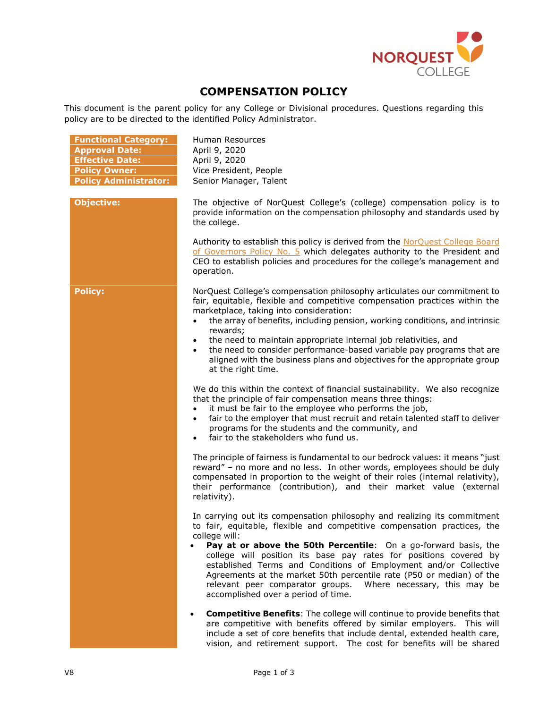

## **COMPENSATION POLICY**

This document is the parent policy for any College or Divisional procedures. Questions regarding this policy are to be directed to the identified Policy Administrator.

| <b>Functional Category:</b><br><b>Approval Date:</b><br><b>Effective Date:</b><br><b>Policy Owner:</b><br><b>Policy Administrator:</b> | Human Resources<br>April 9, 2020<br>April 9, 2020<br>Vice President, People<br>Senior Manager, Talent                                                                                                                                                                                                                                                                                                                                                                                                                                                                              |
|----------------------------------------------------------------------------------------------------------------------------------------|------------------------------------------------------------------------------------------------------------------------------------------------------------------------------------------------------------------------------------------------------------------------------------------------------------------------------------------------------------------------------------------------------------------------------------------------------------------------------------------------------------------------------------------------------------------------------------|
| <b>Objective:</b>                                                                                                                      | The objective of NorQuest College's (college) compensation policy is to<br>provide information on the compensation philosophy and standards used by<br>the college.                                                                                                                                                                                                                                                                                                                                                                                                                |
|                                                                                                                                        | Authority to establish this policy is derived from the NorQuest College Board<br>of Governors Policy No. 5 which delegates authority to the President and<br>CEO to establish policies and procedures for the college's management and<br>operation.                                                                                                                                                                                                                                                                                                                               |
| <b>Policy:</b>                                                                                                                         | NorQuest College's compensation philosophy articulates our commitment to<br>fair, equitable, flexible and competitive compensation practices within the<br>marketplace, taking into consideration:<br>the array of benefits, including pension, working conditions, and intrinsic<br>$\bullet$<br>rewards;<br>the need to maintain appropriate internal job relativities, and<br>$\bullet$<br>the need to consider performance-based variable pay programs that are<br>$\bullet$<br>aligned with the business plans and objectives for the appropriate group<br>at the right time. |
|                                                                                                                                        | We do this within the context of financial sustainability. We also recognize<br>that the principle of fair compensation means three things:<br>it must be fair to the employee who performs the job,<br>$\bullet$<br>fair to the employer that must recruit and retain talented staff to deliver<br>$\bullet$<br>programs for the students and the community, and<br>fair to the stakeholders who fund us.                                                                                                                                                                         |
|                                                                                                                                        | The principle of fairness is fundamental to our bedrock values: it means "just<br>reward" - no more and no less. In other words, employees should be duly<br>compensated in proportion to the weight of their roles (internal relativity),<br>their performance (contribution), and their market value (external<br>relativity).                                                                                                                                                                                                                                                   |
|                                                                                                                                        | In carrying out its compensation philosophy and realizing its commitment<br>to fair, equitable, flexible and competitive compensation practices, the<br>college will:<br><b>Pay at or above the 50th Percentile:</b> On a go-forward basis, the<br>college will position its base pay rates for positions covered by<br>established Terms and Conditions of Employment and/or Collective<br>Agreements at the market 50th percentile rate (P50 or median) of the<br>relevant peer comparator groups.<br>Where necessary, this may be<br>accomplished over a period of time.        |
|                                                                                                                                        | <b>Competitive Benefits:</b> The college will continue to provide benefits that<br>are competitive with benefits offered by similar employers. This will<br>include a set of core benefits that include dental, extended health care,<br>vision, and retirement support. The cost for benefits will be shared                                                                                                                                                                                                                                                                      |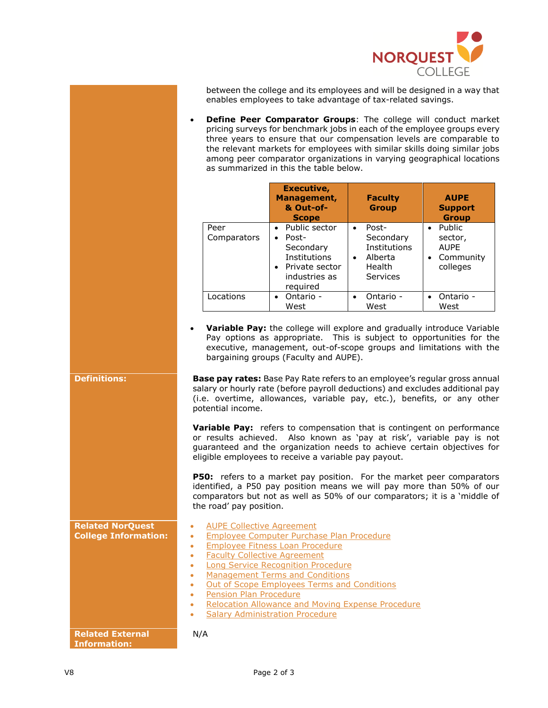

between the college and its employees and will be designed in a way that enables employees to take advantage of tax-related savings.

• **Define Peer Comparator Groups**: The college will conduct market pricing surveys for benchmark jobs in each of the employee groups every three years to ensure that our compensation levels are comparable to the relevant markets for employees with similar skills doing similar jobs among peer comparator organizations in varying geographical locations as summarized in this the table below.

|                     | Executive,<br>Management,<br>& Out-of-<br><b>Scope</b>                                                                         | <b>Faculty</b><br><b>Group</b>                                                                | <b>AUPE</b><br><b>Support</b><br><b>Group</b>                                              |
|---------------------|--------------------------------------------------------------------------------------------------------------------------------|-----------------------------------------------------------------------------------------------|--------------------------------------------------------------------------------------------|
| Peer<br>Comparators | Public sector<br>$\bullet$<br>Post-<br>$\bullet$<br>Secondary<br>Institutions<br>• Private sector<br>industries as<br>required | Post-<br>$\bullet$<br>Secondary<br>Institutions<br>Alberta<br>$\bullet$<br>Health<br>Services | <b>Public</b><br>$\bullet$<br>sector,<br><b>AUPE</b><br>Community<br>$\bullet$<br>colleges |
| Locations           | Ontario -<br>$\bullet$<br>West                                                                                                 | Ontario -<br>$\bullet$<br>West                                                                | Ontario -<br>West                                                                          |

• **Variable Pay:** the college will explore and gradually introduce Variable Pay options as appropriate. This is subject to opportunities for the executive, management, out-of-scope groups and limitations with the bargaining groups (Faculty and AUPE).

**Definitions: <b>Base pay rates:** Base Pay Rate refers to an employee's regular gross annual salary or hourly rate (before payroll deductions) and excludes additional pay (i.e. overtime, allowances, variable pay, etc.), benefits, or any other potential income.

> **Variable Pay:** refers to compensation that is contingent on performance or results achieved. Also known as 'pay at risk', variable pay is not guaranteed and the organization needs to achieve certain objectives for eligible employees to receive a variable pay payout.

> **P50:** refers to a market pay position. For the market peer comparators identified, a P50 pay position means we will pay more than 50% of our comparators but not as well as 50% of our comparators; it is a 'middle of the road' pay position.

|                                                        | the road pay position.                                                                                                                                                                                                                                                                                                                                                                                                                                                   |
|--------------------------------------------------------|--------------------------------------------------------------------------------------------------------------------------------------------------------------------------------------------------------------------------------------------------------------------------------------------------------------------------------------------------------------------------------------------------------------------------------------------------------------------------|
| <b>Related NorQuest</b><br><b>College Information:</b> | <b>AUPE Collective Agreement</b><br>۰<br>Employee Computer Purchase Plan Procedure<br>۰<br>Employee Fitness Loan Procedure<br>۰<br><b>Faculty Collective Agreement</b><br>۰<br>Long Service Recognition Procedure<br>۰<br><b>Management Terms and Conditions</b><br>۰<br>Out of Scope Employees Terms and Conditions<br>۰<br><b>Pension Plan Procedure</b><br>۰<br>Relocation Allowance and Moving Expense Procedure<br>۰<br><b>Salary Administration Procedure</b><br>۰ |
| <b>Related External</b><br>Information:                | N/A                                                                                                                                                                                                                                                                                                                                                                                                                                                                      |